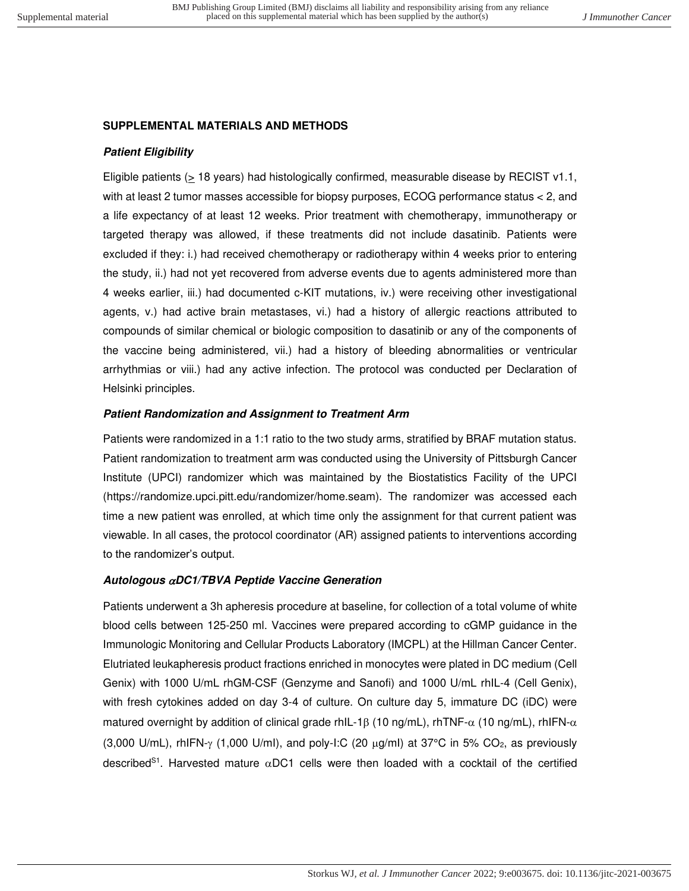### **SUPPLEMENTAL MATERIALS AND METHODS**

# **Patient Eligibility**

Eligible patients ( $\geq$  18 years) had histologically confirmed, measurable disease by RECIST v1.1, with at least 2 tumor masses accessible for biopsy purposes, ECOG performance status < 2, and a life expectancy of at least 12 weeks. Prior treatment with chemotherapy, immunotherapy or targeted therapy was allowed, if these treatments did not include dasatinib. Patients were excluded if they: i.) had received chemotherapy or radiotherapy within 4 weeks prior to entering the study, ii.) had not yet recovered from adverse events due to agents administered more than 4 weeks earlier, iii.) had documented c-KIT mutations, iv.) were receiving other investigational agents, v.) had active brain metastases, vi.) had a history of allergic reactions attributed to compounds of similar chemical or biologic composition to dasatinib or any of the components of the vaccine being administered, vii.) had a history of bleeding abnormalities or ventricular arrhythmias or viii.) had any active infection. The protocol was conducted per Declaration of Helsinki principles.

### **Patient Randomization and Assignment to Treatment Arm**

Patients were randomized in a 1:1 ratio to the two study arms, stratified by BRAF mutation status. Patient randomization to treatment arm was conducted using the University of Pittsburgh Cancer Institute (UPCI) randomizer which was maintained by the Biostatistics Facility of the UPCI (https://randomize.upci.pitt.edu/randomizer/home.seam). The randomizer was accessed each time a new patient was enrolled, at which time only the assignment for that current patient was viewable. In all cases, the protocol coordinator (AR) assigned patients to interventions according to the randomizer's output.

### **Autologous DC1/TBVA Peptide Vaccine Generation**

Patients underwent a 3h apheresis procedure at baseline, for collection of a total volume of white blood cells between 125-250 ml. Vaccines were prepared according to cGMP guidance in the Immunologic Monitoring and Cellular Products Laboratory (IMCPL) at the Hillman Cancer Center. Elutriated leukapheresis product fractions enriched in monocytes were plated in DC medium (Cell Genix) with 1000 U/mL rhGM-CSF (Genzyme and Sanofi) and 1000 U/mL rhIL-4 (Cell Genix), with fresh cytokines added on day 3-4 of culture. On culture day 5, immature DC (iDC) were matured overnight by addition of clinical grade rhIL-1 $\beta$  (10 ng/mL), rhTNF- $\alpha$  (10 ng/mL), rhIFN- $\alpha$ (3,000 U/mL), rhIFN- $\gamma$  (1,000 U/ml), and poly-I:C (20  $\mu$ g/ml) at 37°C in 5% CO<sub>2</sub>, as previously described<sup>S1</sup>. Harvested mature  $\alpha$ DC1 cells were then loaded with a cocktail of the certified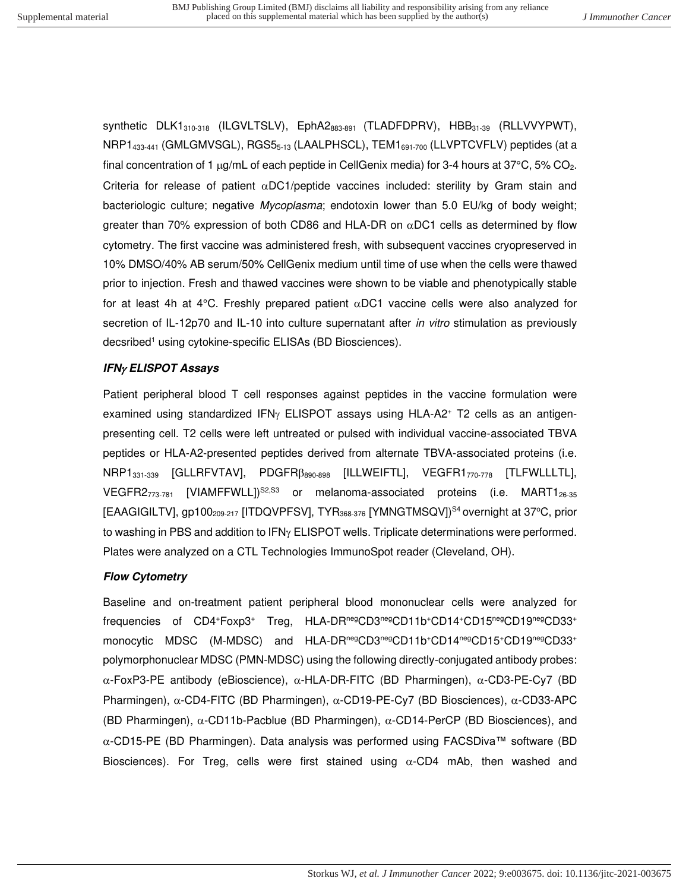synthetic  $DLK1_{310-318}$  (ILGVLTSLV),  $EphA2_{883-891}$  (TLADFDPRV),  $HBB_{31-39}$  (RLLVVYPWT), NRP1<sub>433-441</sub> (GMLGMVSGL), RGS5<sub>5-13</sub> (LAALPHSCL), TEM1<sub>691-700</sub> (LLVPTCVFLV) peptides (at a final concentration of 1  $\mu$ g/mL of each peptide in CellGenix media) for 3-4 hours at 37°C, 5% CO<sub>2</sub>. Criteria for release of patient  $\alpha$ DC1/peptide vaccines included: sterility by Gram stain and bacteriologic culture; negative Mycoplasma; endotoxin lower than 5.0 EU/kg of body weight; greater than 70% expression of both CD86 and HLA-DR on  $\alpha$ DC1 cells as determined by flow cytometry. The first vaccine was administered fresh, with subsequent vaccines cryopreserved in 10% DMSO/40% AB serum/50% CellGenix medium until time of use when the cells were thawed prior to injection. Fresh and thawed vaccines were shown to be viable and phenotypically stable for at least 4h at 4°C. Freshly prepared patient  $\alpha$ DC1 vaccine cells were also analyzed for secretion of IL-12p70 and IL-10 into culture supernatant after *in vitro* stimulation as previously decsribed<sup>1</sup> using cytokine-specific ELISAs (BD Biosciences).

# **IFN ELISPOT Assays**

Patient peripheral blood T cell responses against peptides in the vaccine formulation were examined using standardized IFN $\gamma$  ELISPOT assays using HLA-A2<sup>+</sup> T2 cells as an antigenpresenting cell. T2 cells were left untreated or pulsed with individual vaccine-associated TBVA peptides or HLA-A2-presented peptides derived from alternate TBVA-associated proteins (i.e. NRP1<sub>331-339</sub> [GLLRFVTAV], PDGFR $\beta_{890-898}$  [ILLWEIFTL], VEGFR1<sub>770-778</sub> [TLFWLLLTL], VEGFR2 $_{773-781}$  [VIAMFFWLL] $^{S2, S3}$  or melanoma-associated proteins (i.e. MART1 $_{26-35}$ [EAAGIGILTV], gp100<sub>209-217</sub> [ITDQVPFSV], TYR<sub>368-376</sub> [YMNGTMSQV]<sup>S4</sup> overnight at 37°C, prior to washing in PBS and addition to  $IFN<sub>Y</sub> ELISPOT$  wells. Triplicate determinations were performed. Plates were analyzed on a CTL Technologies ImmunoSpot reader (Cleveland, OH).

# **Flow Cytometry**

Baseline and on-treatment patient peripheral blood mononuclear cells were analyzed for frequencies of CD4<sup>+</sup>Foxp3<sup>+</sup> Treg, HLA-DRnegCD3negCD11b<sup>+</sup>CD14<sup>+</sup>CD15negCD19negCD33<sup>+</sup> monocytic MDSC (M-MDSC) and HLA-DR<sup>neg</sup>CD3<sup>neg</sup>CD11b<sup>+</sup>CD14<sup>neg</sup>CD15<sup>+</sup>CD19<sup>neg</sup>CD33<sup>+</sup> polymorphonuclear MDSC (PMN-MDSC) using the following directly-conjugated antibody probes:  $\alpha$ -FoxP3-PE antibody (eBioscience),  $\alpha$ -HLA-DR-FITC (BD Pharmingen),  $\alpha$ -CD3-PE-Cy7 (BD Pharmingen),  $\alpha$ -CD4-FITC (BD Pharmingen),  $\alpha$ -CD19-PE-Cy7 (BD Biosciences),  $\alpha$ -CD33-APC (BD Pharmingen),  $\alpha$ -CD11b-Pacblue (BD Pharmingen),  $\alpha$ -CD14-PerCP (BD Biosciences), and -CD15-PE (BD Pharmingen). Data analysis was performed using FACSDiva™ software (BD Biosciences). For Treg, cells were first stained using  $\alpha$ -CD4 mAb, then washed and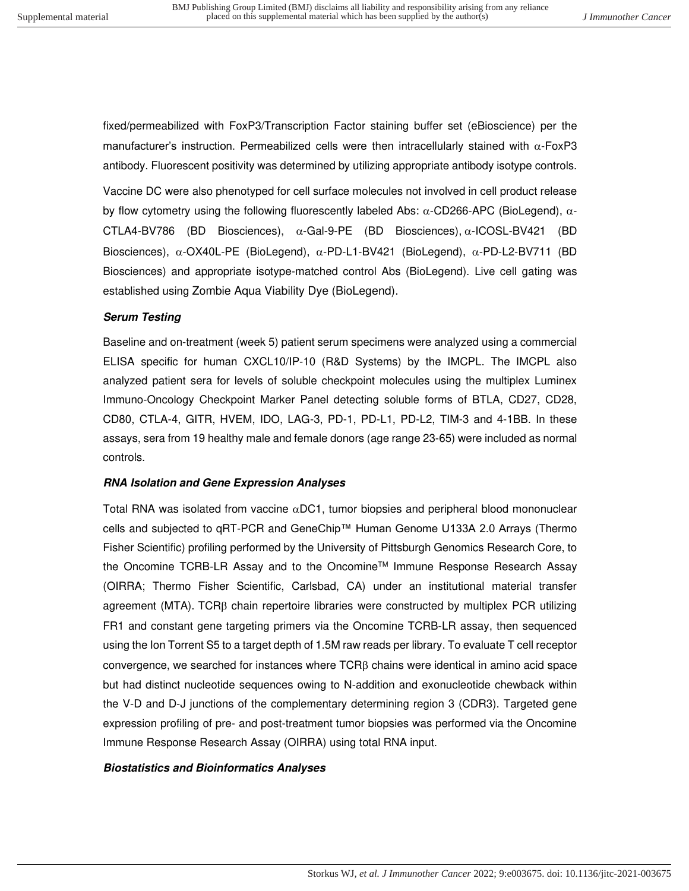fixed/permeabilized with FoxP3/Transcription Factor staining buffer set (eBioscience) per the manufacturer's instruction. Permeabilized cells were then intracellularly stained with  $\alpha$ -FoxP3 antibody. Fluorescent positivity was determined by utilizing appropriate antibody isotype controls.

Vaccine DC were also phenotyped for cell surface molecules not involved in cell product release by flow cytometry using the following fluorescently labeled Abs:  $\alpha$ -CD266-APC (BioLegend),  $\alpha$ -CTLA4-BV786 (BD Biosciences),  $\alpha$ -Gal-9-PE (BD Biosciences),  $\alpha$ -ICOSL-BV421 (BD Biosciences),  $\alpha$ -OX40L-PE (BioLegend),  $\alpha$ -PD-L1-BV421 (BioLegend),  $\alpha$ -PD-L2-BV711 (BD Biosciences) and appropriate isotype-matched control Abs (BioLegend). Live cell gating was established using Zombie Aqua Viability Dye (BioLegend).

### **Serum Testing**

Baseline and on-treatment (week 5) patient serum specimens were analyzed using a commercial ELISA specific for human CXCL10/IP-10 (R&D Systems) by the IMCPL. The IMCPL also analyzed patient sera for levels of soluble checkpoint molecules using the multiplex Luminex Immuno-Oncology Checkpoint Marker Panel detecting soluble forms of BTLA, CD27, CD28, CD80, CTLA-4, GITR, HVEM, IDO, LAG-3, PD-1, PD-L1, PD-L2, TIM-3 and 4-1BB. In these assays, sera from 19 healthy male and female donors (age range 23-65) were included as normal controls.

### **RNA Isolation and Gene Expression Analyses**

Total RNA was isolated from vaccine  $\alpha$ DC1, tumor biopsies and peripheral blood mononuclear cells and subjected to qRT-PCR and GeneChip™ Human Genome U133A 2.0 Arrays (Thermo Fisher Scientific) profiling performed by the University of Pittsburgh Genomics Research Core, to the Oncomine TCRB-LR Assay and to the Oncomine<sup>™</sup> Immune Response Research Assay (OIRRA; Thermo Fisher Scientific, Carlsbad, CA) under an institutional material transfer agreement (MTA). TCR $\beta$  chain repertoire libraries were constructed by multiplex PCR utilizing FR1 and constant gene targeting primers via the Oncomine TCRB-LR assay, then sequenced using the Ion Torrent S5 to a target depth of 1.5M raw reads per library. To evaluate T cell receptor convergence, we searched for instances where  $TCRB$  chains were identical in amino acid space but had distinct nucleotide sequences owing to N-addition and exonucleotide chewback within the V-D and D-J junctions of the complementary determining region 3 (CDR3). Targeted gene expression profiling of pre- and post-treatment tumor biopsies was performed via the Oncomine Immune Response Research Assay (OIRRA) using total RNA input.

### **Biostatistics and Bioinformatics Analyses**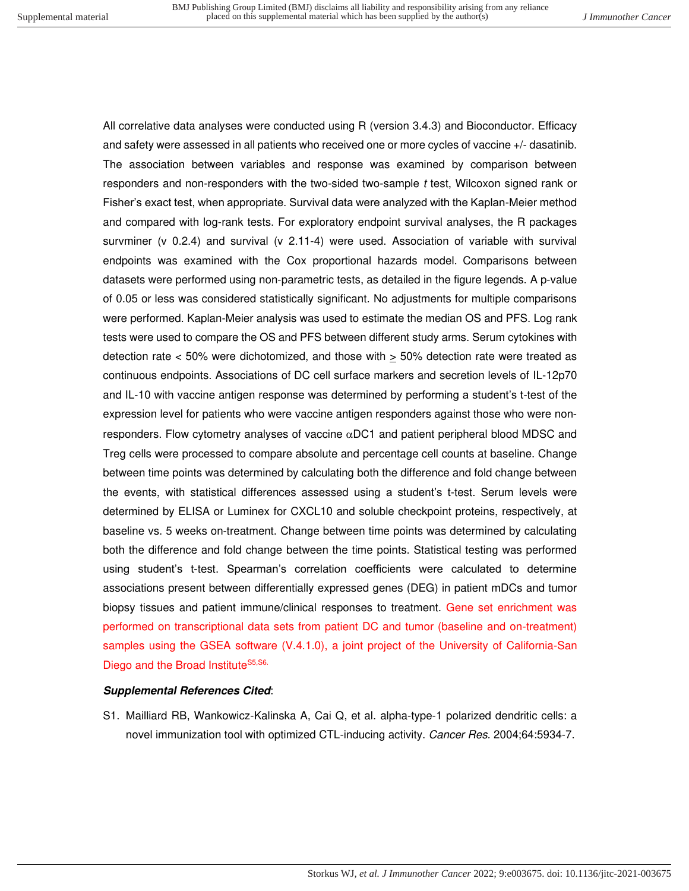All correlative data analyses were conducted using R (version 3.4.3) and Bioconductor. Efficacy and safety were assessed in all patients who received one or more cycles of vaccine +/- dasatinib. The association between variables and response was examined by comparison between responders and non-responders with the two-sided two-sample t test, Wilcoxon signed rank or Fisher's exact test, when appropriate. Survival data were analyzed with the Kaplan-Meier method and compared with log-rank tests. For exploratory endpoint survival analyses, the R packages survminer (v 0.2.4) and survival (v 2.11-4) were used. Association of variable with survival endpoints was examined with the Cox proportional hazards model. Comparisons between datasets were performed using non-parametric tests, as detailed in the figure legends. A p-value of 0.05 or less was considered statistically significant. No adjustments for multiple comparisons were performed. Kaplan-Meier analysis was used to estimate the median OS and PFS. Log rank tests were used to compare the OS and PFS between different study arms. Serum cytokines with detection rate  $<$  50% were dichotomized, and those with  $\geq$  50% detection rate were treated as continuous endpoints. Associations of DC cell surface markers and secretion levels of IL-12p70 and IL-10 with vaccine antigen response was determined by performing a student's t-test of the expression level for patients who were vaccine antigen responders against those who were nonresponders. Flow cytometry analyses of vaccine  $\alpha$ DC1 and patient peripheral blood MDSC and Treg cells were processed to compare absolute and percentage cell counts at baseline. Change between time points was determined by calculating both the difference and fold change between the events, with statistical differences assessed using a student's t-test. Serum levels were determined by ELISA or Luminex for CXCL10 and soluble checkpoint proteins, respectively, at baseline vs. 5 weeks on-treatment. Change between time points was determined by calculating both the difference and fold change between the time points. Statistical testing was performed using student's t-test. Spearman's correlation coefficients were calculated to determine associations present between differentially expressed genes (DEG) in patient mDCs and tumor biopsy tissues and patient immune/clinical responses to treatment. Gene set enrichment was performed on transcriptional data sets from patient DC and tumor (baseline and on-treatment) samples using the GSEA software (V.4.1.0), a joint project of the University of California-San Diego and the Broad Institute<sup>S5,S6.</sup>

### **Supplemental References Cited**:

S1. Mailliard RB, Wankowicz-Kalinska A, Cai Q, et al. alpha-type-1 polarized dendritic cells: a novel immunization tool with optimized CTL-inducing activity. Cancer Res. 2004;64:5934-7.